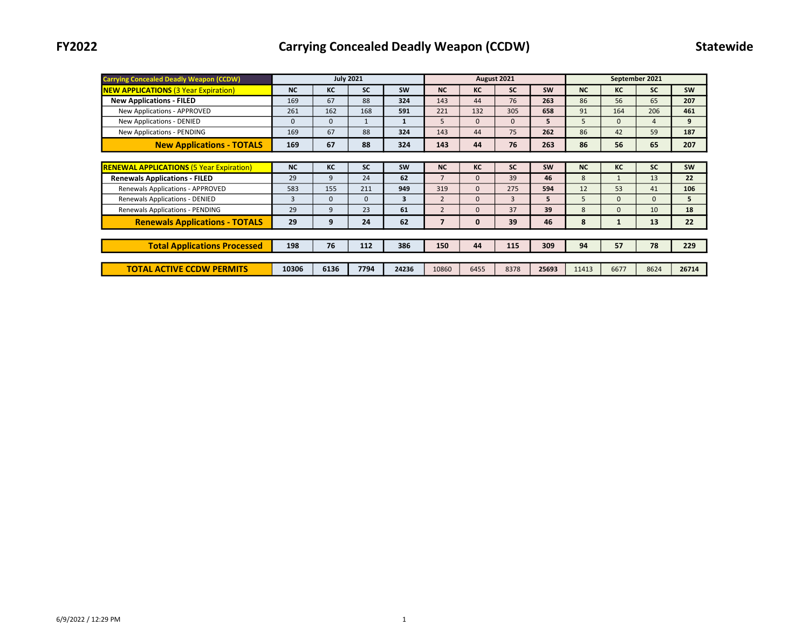| <b>Carrying Concealed Deadly Weapon (CCDW)</b>  | <b>July 2021</b> |              |              |              |                |              | August 2021    |           | September 2021 |              |                |           |
|-------------------------------------------------|------------------|--------------|--------------|--------------|----------------|--------------|----------------|-----------|----------------|--------------|----------------|-----------|
| <b>NEW APPLICATIONS (3 Year Expiration)</b>     | <b>NC</b>        | КC           | <b>SC</b>    | <b>SW</b>    | <b>NC</b>      | <b>KC</b>    | <b>SC</b>      | <b>SW</b> | NC             | KC           | <b>SC</b>      | <b>SW</b> |
| <b>New Applications - FILED</b>                 | 169              | 67           | 88           | 324          | 143            | 44           | 76             | 263       | 86             | 56           | 65             | 207       |
| New Applications - APPROVED                     | 261              | 162          | 168          | 591          | 221            | 132          | 305            | 658       | 91             | 164          | 206            | 461       |
| New Applications - DENIED                       | $\mathbf 0$      | $\mathbf{0}$ | $\mathbf{1}$ | $\mathbf{1}$ | 5              | $\mathbf{0}$ | $\Omega$       | 5         | 5              | $\Omega$     | $\overline{4}$ | 9         |
| New Applications - PENDING                      | 169              | 67           | 88           | 324          | 143            | 44           | 75             | 262       | 86             | 42           | 59             | 187       |
| <b>New Applications - TOTALS</b>                | 169              | 67           | 88           | 324          | 143            | 44           | 76             | 263       | 86             | 56           | 65             | 207       |
|                                                 |                  |              |              |              |                |              |                |           |                |              |                |           |
| <b>RENEWAL APPLICATIONS (5 Year Expiration)</b> | <b>NC</b>        | КC           | <b>SC</b>    | <b>SW</b>    | <b>NC</b>      | KC           | <b>SC</b>      | <b>SW</b> | <b>NC</b>      | KC           | <b>SC</b>      | <b>SW</b> |
| <b>Renewals Applications - FILED</b>            | 29               | 9            | 24           | 62           | $\overline{7}$ | $\mathbf{0}$ | 39             | 46        | 8              | $\mathbf{1}$ | 13             | 22        |
| <b>Renewals Applications - APPROVED</b>         | 583              | 155          | 211          | 949          | 319            | $\mathbf{0}$ | 275            | 594       | 12             | 53           | 41             | 106       |
| <b>Renewals Applications - DENIED</b>           | 3                | $\mathbf{0}$ | $\Omega$     | 3            | $\overline{2}$ | $\mathbf{0}$ | $\overline{3}$ | 5         | 5              | $\Omega$     | $\mathbf{0}$   | 5         |
| Renewals Applications - PENDING                 | 29               | 9            | 23           | 61           | $\overline{2}$ | $\mathbf{0}$ | 37             | 39        | 8              | $\Omega$     | 10             | 18        |
| <b>Renewals Applications - TOTALS</b>           | 29               | 9            | 24           | 62           | 7              | $\mathbf 0$  | 39             | 46        | 8              |              | 13             | 22        |
|                                                 |                  |              |              |              |                |              |                |           |                |              |                |           |
| <b>Total Applications Processed</b>             | 198              | 76           | 112          | 386          | 150            | 44           | 115            | 309       | 94             | 57           | 78             | 229       |
|                                                 |                  |              |              |              |                |              |                |           |                |              |                |           |
| <b>TOTAL ACTIVE CCDW PERMITS</b>                | 10306            | 6136         | 7794         | 24236        | 10860          | 6455         | 8378           | 25693     | 11413          | 6677         | 8624           | 26714     |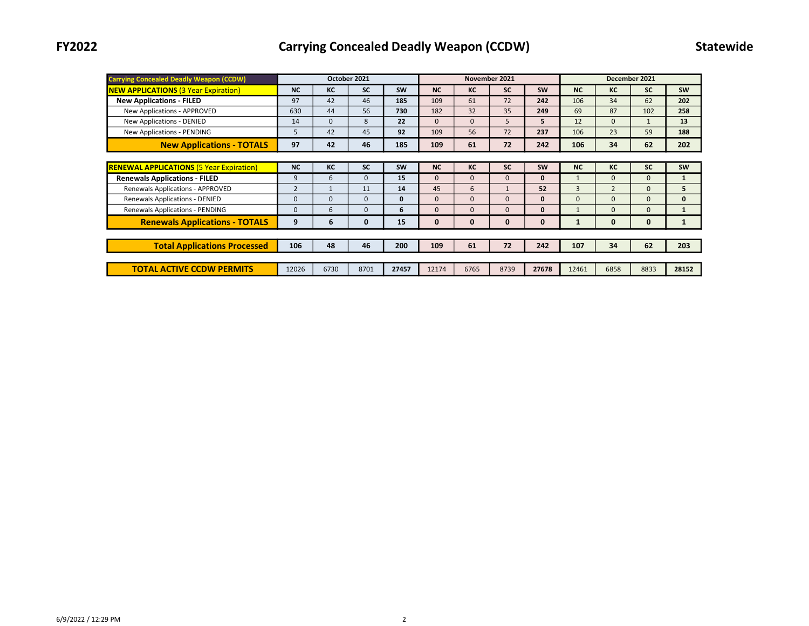| <b>Carrying Concealed Deadly Weapon (CCDW)</b>  | October 2021   |             |              |           |              |              | November 2021 |              | December 2021 |                |              |              |  |
|-------------------------------------------------|----------------|-------------|--------------|-----------|--------------|--------------|---------------|--------------|---------------|----------------|--------------|--------------|--|
| <b>NEW APPLICATIONS (3 Year Expiration)</b>     | <b>NC</b>      | КC          | <b>SC</b>    | <b>SW</b> | <b>NC</b>    | КC           | <b>SC</b>     | <b>SW</b>    | <b>NC</b>     | КC             | <b>SC</b>    | <b>SW</b>    |  |
| <b>New Applications - FILED</b>                 | 97             | 42          | 46           | 185       | 109          | 61           | 72            | 242          | 106           | 34             | 62           | 202          |  |
| New Applications - APPROVED                     | 630            | 44          | 56           | 730       | 182          | 32           | 35            | 249          | 69            | 87             | 102          | 258          |  |
| <b>New Applications - DENIED</b>                | 14             | $\mathbf 0$ | 8            | 22        | $\Omega$     | $\Omega$     | 5             | 5            | 12            | $\Omega$       | $\mathbf{1}$ | 13           |  |
| New Applications - PENDING                      | 5              | 42          | 45           | 92        | 109          | 56           | 72            | 237          | 106           | 23             | 59           | 188          |  |
| <b>New Applications - TOTALS</b>                | 97             | 42          | 46           | 185       | 109          | 61           | 72            | 242          | 106           | 34             | 62           | 202          |  |
|                                                 |                |             |              |           |              |              |               |              |               |                |              |              |  |
| <b>RENEWAL APPLICATIONS (5 Year Expiration)</b> | <b>NC</b>      | КC          | <b>SC</b>    | <b>SW</b> | <b>NC</b>    | КC           | <b>SC</b>     | <b>SW</b>    | <b>NC</b>     | КC             | <b>SC</b>    | <b>SW</b>    |  |
| <b>Renewals Applications - FILED</b>            | 9              | 6           | $\mathbf{0}$ | 15        | $\mathbf{0}$ | $\mathbf{0}$ | $\mathbf{0}$  | $\mathbf{0}$ | $\mathbf{1}$  | $\mathbf{0}$   | $\mathbf{0}$ | $\mathbf{1}$ |  |
| Renewals Applications - APPROVED                | $\overline{2}$ |             | 11           | 14        | 45           | 6            |               | 52           | 3             | $\overline{2}$ | $\mathbf{0}$ | 5            |  |
| <b>Renewals Applications - DENIED</b>           | $\Omega$       | $\mathbf 0$ | $\Omega$     | 0         | $\Omega$     | $\Omega$     | $\mathbf{0}$  | $\mathbf{0}$ | $\Omega$      | $\Omega$       | $\Omega$     | $\mathbf{0}$ |  |
| Renewals Applications - PENDING                 | $\Omega$       | 6           | $\mathbf{0}$ | 6         | $\Omega$     | $\Omega$     | $\mathbf{0}$  | $\mathbf{0}$ | 1             | $\Omega$       | $\Omega$     | $\mathbf{1}$ |  |
| <b>Renewals Applications - TOTALS</b>           | 9              | 6           | 0            | 15        | 0            | $\mathbf{0}$ | $\mathbf{0}$  | $\mathbf 0$  |               | $\mathbf 0$    | 0            | $\mathbf{1}$ |  |
|                                                 |                |             |              |           |              |              |               |              |               |                |              |              |  |
| <b>Total Applications Processed</b>             | 106            | 48          | 46           | 200       | 109          | 61           | 72            | 242          | 107           | 34             | 62           | 203          |  |
|                                                 |                |             |              |           |              |              |               |              |               |                |              |              |  |
| <b>TOTAL ACTIVE CCDW PERMITS</b>                | 12026          | 6730        | 8701         | 27457     | 12174        | 6765         | 8739          | 27678        | 12461         | 6858           | 8833         | 28152        |  |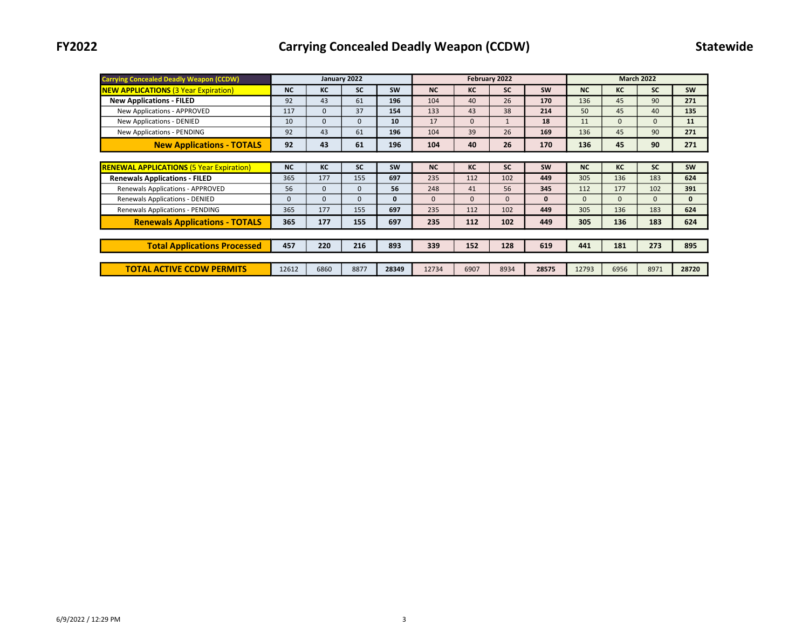| <b>Carrying Concealed Deadly Weapon (CCDW)</b>  | January 2022 |          |           |              |           |              | February 2022 |              | <b>March 2022</b> |          |              |              |
|-------------------------------------------------|--------------|----------|-----------|--------------|-----------|--------------|---------------|--------------|-------------------|----------|--------------|--------------|
| <b>NEW APPLICATIONS (3 Year Expiration)</b>     | <b>NC</b>    | КC       | <b>SC</b> | <b>SW</b>    | <b>NC</b> | КC           | <b>SC</b>     | <b>SW</b>    | <b>NC</b>         | KC       | <b>SC</b>    | <b>SW</b>    |
| <b>New Applications - FILED</b>                 | 92           | 43       | 61        | 196          | 104       | 40           | 26            | 170          | 136               | 45       | 90           | 271          |
| New Applications - APPROVED                     | 117          | $\Omega$ | 37        | 154          | 133       | 43           | 38            | 214          | 50                | 45       | 40           | 135          |
| <b>New Applications - DENIED</b>                | 10           | $\Omega$ | $\Omega$  | 10           | 17        | $\mathbf{0}$ |               | 18           | 11                | $\Omega$ | $\mathbf{0}$ | 11           |
| New Applications - PENDING                      | 92           | 43       | 61        | 196          | 104       | 39           | 26            | 169          | 136               | 45       | 90           | 271          |
| <b>New Applications - TOTALS</b>                | 92           | 43       | 61        | 196          | 104       | 40           | 26            | 170          | 136               | 45       | 90           | 271          |
|                                                 |              |          |           |              |           |              |               |              |                   |          |              |              |
| <b>RENEWAL APPLICATIONS (5 Year Expiration)</b> | <b>NC</b>    | КC       | <b>SC</b> | <b>SW</b>    | <b>NC</b> | KC           | <b>SC</b>     | <b>SW</b>    | <b>NC</b>         | KC       | <b>SC</b>    | <b>SW</b>    |
| <b>Renewals Applications - FILED</b>            | 365          | 177      | 155       | 697          | 235       | 112          | 102           | 449          | 305               | 136      | 183          | 624          |
| Renewals Applications - APPROVED                | 56           | $\Omega$ | $\Omega$  | 56           | 248       | 41           | 56            | 345          | 112               | 177      | 102          | 391          |
| Renewals Applications - DENIED                  | $\Omega$     | $\Omega$ | $\Omega$  | $\mathbf{0}$ | $\Omega$  | $\Omega$     | 0             | $\mathbf{0}$ | $\Omega$          | $\Omega$ | $\mathbf{0}$ | $\mathbf{0}$ |
| Renewals Applications - PENDING                 | 365          | 177      | 155       | 697          | 235       | 112          | 102           | 449          | 305               | 136      | 183          | 624          |
| <b>Renewals Applications - TOTALS</b>           | 365          | 177      | 155       | 697          | 235       | 112          | 102           | 449          | 305               | 136      | 183          | 624          |
|                                                 |              |          |           |              |           |              |               |              |                   |          |              |              |
| <b>Total Applications Processed</b>             | 457          | 220      | 216       | 893          | 339       | 152          | 128           | 619          | 441               | 181      | 273          | 895          |
|                                                 |              |          |           |              |           |              |               |              |                   |          |              |              |
| <b>TOTAL ACTIVE CCDW PERMITS</b>                | 12612        | 6860     | 8877      | 28349        | 12734     | 6907         | 8934          | 28575        | 12793             | 6956     | 8971         | 28720        |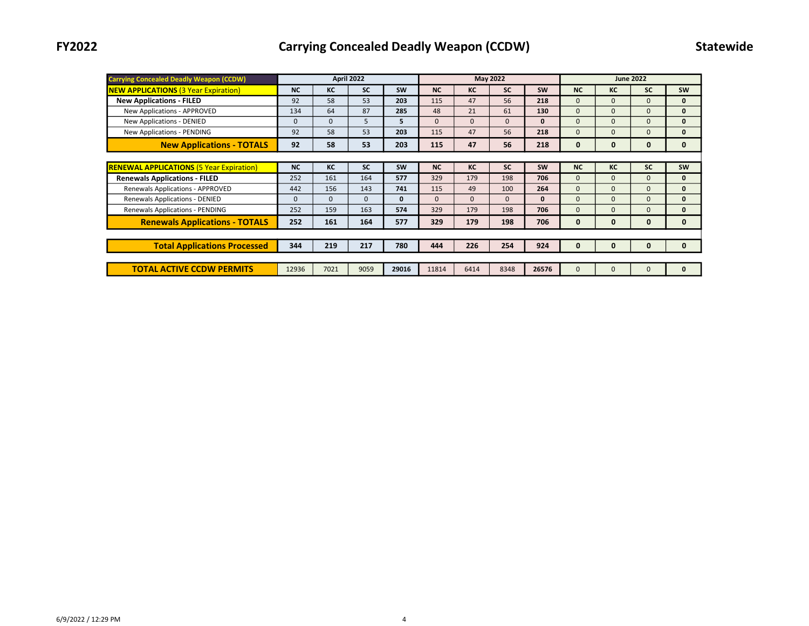| <b>Carrying Concealed Deadly Weapon (CCDW)</b>  | <b>April 2022</b> |              |              |           |           |          | <b>May 2022</b> |              | <b>June 2022</b> |          |              |              |  |
|-------------------------------------------------|-------------------|--------------|--------------|-----------|-----------|----------|-----------------|--------------|------------------|----------|--------------|--------------|--|
| <b>NEW APPLICATIONS (3 Year Expiration)</b>     | <b>NC</b>         | КC           | <b>SC</b>    | <b>SW</b> | <b>NC</b> | КC       | <b>SC</b>       | <b>SW</b>    | <b>NC</b>        | KC       | <b>SC</b>    | <b>SW</b>    |  |
| <b>New Applications - FILED</b>                 | 92                | 58           | 53           | 203       | 115       | 47       | 56              | 218          | $\Omega$         | $\Omega$ | $\Omega$     | $\mathbf{0}$ |  |
| New Applications - APPROVED                     | 134               | 64           | 87           | 285       | 48        | 21       | 61              | 130          | $\Omega$         | $\Omega$ | $\Omega$     | $\mathbf{0}$ |  |
| New Applications - DENIED                       | $\Omega$          | $\mathbf{0}$ | 5            | 5.        | $\Omega$  | $\Omega$ | $\mathbf{0}$    | $\mathbf{0}$ | $\Omega$         | $\Omega$ | $\Omega$     | $\mathbf{0}$ |  |
| New Applications - PENDING                      | 92                | 58           | 53           | 203       | 115       | 47       | 56              | 218          | $\Omega$         | $\Omega$ | 0            | $\mathbf{0}$ |  |
| <b>New Applications - TOTALS</b>                | 92                | 58           | 53           | 203       | 115       | 47       | 56              | 218          | $\mathbf{0}$     | 0        | $\mathbf{0}$ | $\mathbf{0}$ |  |
|                                                 |                   |              |              |           |           |          |                 |              |                  |          |              |              |  |
| <b>RENEWAL APPLICATIONS (5 Year Expiration)</b> | <b>NC</b>         | КC           | <b>SC</b>    | <b>SW</b> | <b>NC</b> | KC       | <b>SC</b>       | <b>SW</b>    | <b>NC</b>        | KC       | <b>SC</b>    | <b>SW</b>    |  |
| <b>Renewals Applications - FILED</b>            | 252               | 161          | 164          | 577       | 329       | 179      | 198             | 706          | $\Omega$         | $\Omega$ | $\mathbf{0}$ | $\mathbf{0}$ |  |
| Renewals Applications - APPROVED                | 442               | 156          | 143          | 741       | 115       | 49       | 100             | 264          | $\Omega$         | $\Omega$ | $\mathbf{0}$ | $\mathbf{0}$ |  |
| Renewals Applications - DENIED                  | $\Omega$          | $\mathbf 0$  | $\mathbf{0}$ | 0         | $\Omega$  | $\Omega$ | $\Omega$        | $\mathbf{0}$ | $\Omega$         | $\Omega$ | $\mathbf{0}$ | $\mathbf{0}$ |  |
| Renewals Applications - PENDING                 | 252               | 159          | 163          | 574       | 329       | 179      | 198             | 706          | $\Omega$         | $\Omega$ | $\Omega$     | $\mathbf{0}$ |  |
| <b>Renewals Applications - TOTALS</b>           | 252               | 161          | 164          | 577       | 329       | 179      | 198             | 706          | $\mathbf{0}$     | 0        | $\mathbf{0}$ | $\mathbf{0}$ |  |
|                                                 |                   |              |              |           |           |          |                 |              |                  |          |              |              |  |
| <b>Total Applications Processed</b>             | 344               | 219          | 217          | 780       | 444       | 226      | 254             | 924          | 0                | 0        | 0            | 0            |  |
|                                                 |                   |              |              |           |           |          |                 |              |                  |          |              |              |  |
| <b>TOTAL ACTIVE CCDW PERMITS</b>                | 12936             | 7021         | 9059         | 29016     | 11814     | 6414     | 8348            | 26576        | $\Omega$         | $\Omega$ | $\Omega$     | $\mathbf{0}$ |  |